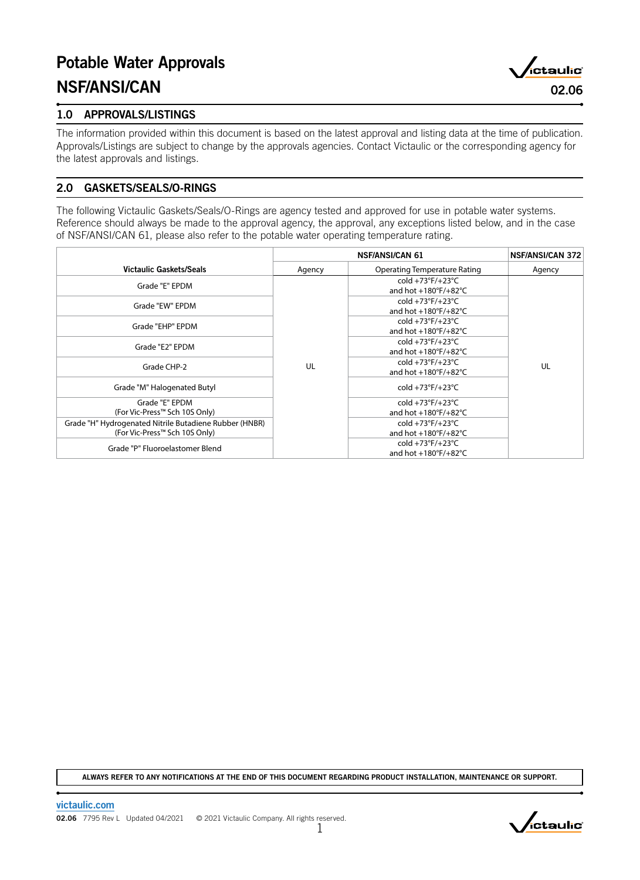# Potable Water Approvals NSF/ANSI/CAN 02.06



The information provided within this document is based on the latest approval and listing data at the time of publication. Approvals/Listings are subject to change by the approvals agencies. Contact Victaulic or the corresponding agency for the latest approvals and listings.

# 2.0 GASKETS/SEALS/O-RINGS

The following Victaulic Gaskets/Seals/O-Rings are agency tested and approved for use in potable water systems. Reference should always be made to the approval agency, the approval, any exceptions listed below, and in the case of NSF/ANSI/CAN 61, please also refer to the potable water operating temperature rating.

|                                                                                         |        | <b>NSF/ANSI/CAN 372</b>                                                       |    |
|-----------------------------------------------------------------------------------------|--------|-------------------------------------------------------------------------------|----|
| <b>Victaulic Gaskets/Seals</b>                                                          | Agency | Agency                                                                        |    |
| Grade "E" EPDM                                                                          |        | cold $+73^{\circ}F/+23^{\circ}C$<br>and hot $+180^\circ$ F/ $+82^\circ$ C     |    |
| Grade "EW" EPDM                                                                         |        | cold +73°F/+23°C<br>and hot $+180^\circ$ F/ $+82^\circ$ C                     |    |
| Grade "EHP" EPDM                                                                        |        | cold +73°F/+23°C<br>and hot $+180^\circ$ F/ $+82^\circ$ C                     |    |
| Grade "E2" EPDM                                                                         |        | cold +73°F/+23°C<br>and hot $+180^\circ F/+82^\circ C$                        |    |
| Grade CHP-2                                                                             | UL     | cold +73 $\degree$ F/+23 $\degree$ C<br>and hot $+180^\circ$ F/ $+82^\circ$ C | UL |
| Grade "M" Halogenated Butyl                                                             |        | cold +73°F/+23°C                                                              |    |
| Grade "E" EPDM<br>(For Vic-Press™ Sch 10S Only)                                         |        | cold +73°F/+23°C<br>and hot $+180^\circ$ F/ $+82^\circ$ C                     |    |
| Grade "H" Hydrogenated Nitrile Butadiene Rubber (HNBR)<br>(For Vic-Press™ Sch 10S Only) |        | cold $+73^{\circ}F/+23^{\circ}C$<br>and hot $+180^\circ$ F/ $+82^\circ$ C     |    |
| Grade "P" Fluoroelastomer Blend                                                         |        | cold +73°F/+23°C<br>and hot $+180^\circ$ F/ $+82^\circ$ C                     |    |

ALWAYS REFER TO ANY NOTIFICATIONS AT THE END OF THIS DOCUMENT REGARDING PRODUCT INSTALLATION, MAINTENANCE OR SUPPORT.



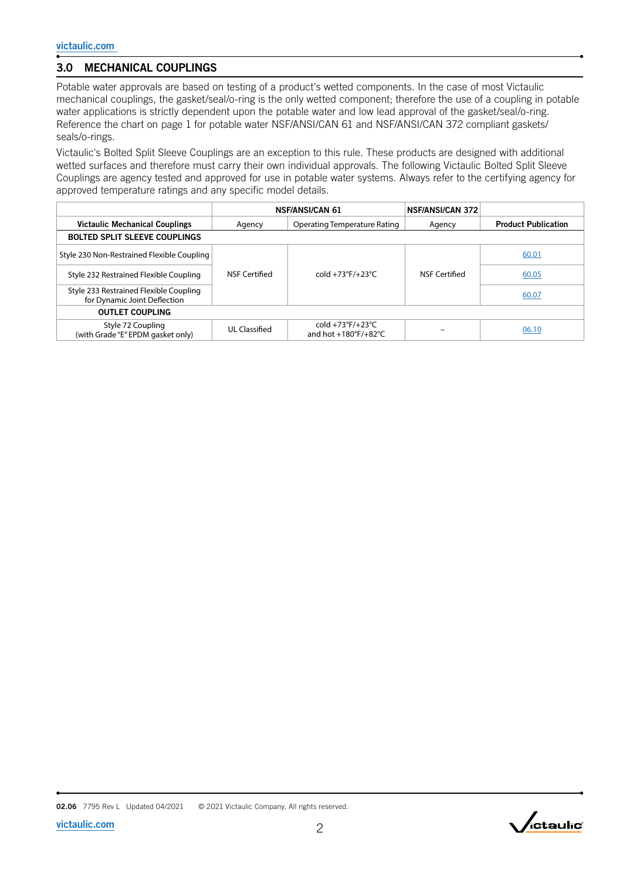# 3.0 MECHANICAL COUPLINGS

Potable water approvals are based on testing of a product's wetted components. In the case of most Victaulic mechanical couplings, the gasket/seal/o-ring is the only wetted component; therefore the use of a coupling in potable water applications is strictly dependent upon the potable water and low lead approval of the gasket/seal/o-ring. Reference the chart on page 1 for potable water NSF/ANSI/CAN 61 and NSF/ANSI/CAN 372 compliant gaskets/ seals/o-rings.

Victaulic's Bolted Split Sleeve Couplings are an exception to this rule. These products are designed with additional wetted surfaces and therefore must carry their own individual approvals. The following Victaulic Bolted Split Sleeve Couplings are agency tested and approved for use in potable water systems. Always refer to the certifying agency for approved temperature ratings and any specific model details.

|                                                                        |                                        | <b>NSF/ANSI/CAN 61</b>                                                    | <b>NSF/ANSI/CAN 372</b> |                            |  |  |  |
|------------------------------------------------------------------------|----------------------------------------|---------------------------------------------------------------------------|-------------------------|----------------------------|--|--|--|
| <b>Victaulic Mechanical Couplings</b>                                  | Operating Temperature Rating<br>Agency |                                                                           | Agency                  | <b>Product Publication</b> |  |  |  |
| <b>BOLTED SPLIT SLEEVE COUPLINGS</b>                                   |                                        |                                                                           |                         |                            |  |  |  |
| Style 230 Non-Restrained Flexible Coupling                             |                                        |                                                                           |                         | 60.01                      |  |  |  |
| Style 232 Restrained Flexible Coupling                                 | NSF Certified                          | $cold +73°F/+23°C$                                                        | NSF Certified           | 60.05                      |  |  |  |
| Style 233 Restrained Flexible Coupling<br>for Dynamic Joint Deflection |                                        |                                                                           |                         | 60.07                      |  |  |  |
| <b>OUTLET COUPLING</b>                                                 |                                        |                                                                           |                         |                            |  |  |  |
| Style 72 Coupling<br>(with Grade "E" EPDM gasket only)                 | UL Classified                          | cold $+73^{\circ}F/+23^{\circ}C$<br>and hot $+180^\circ$ F/ $+82^\circ$ C |                         | 06.10                      |  |  |  |

02.06 7795 Rev L Updated 04/2021 © 2021 Victaulic Company. All rights reserved.

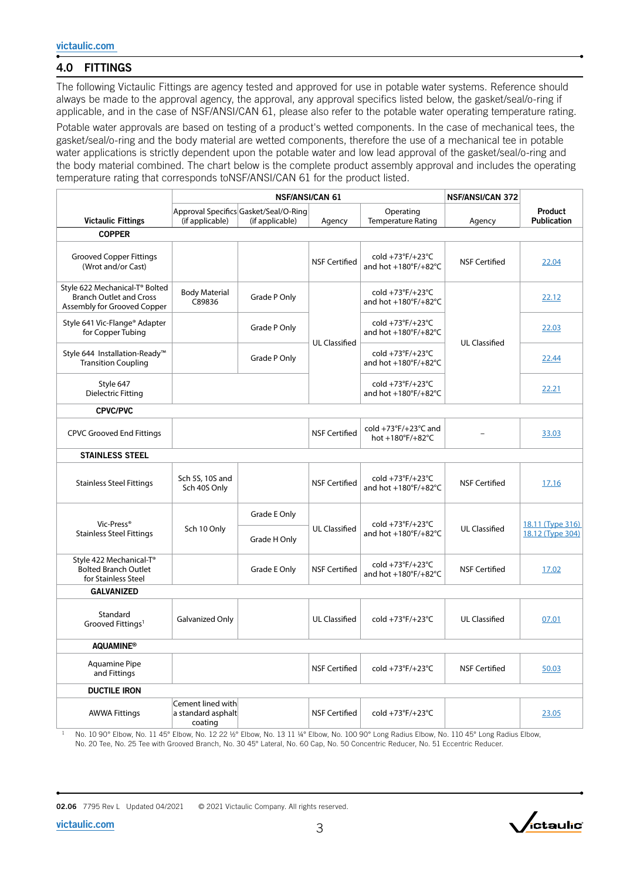# 4.0 FITTINGS

The following Victaulic Fittings are agency tested and approved for use in potable water systems. Reference should always be made to the approval agency, the approval, any approval specifics listed below, the gasket/seal/o-ring if applicable, and in the case of NSF/ANSI/CAN 61, please also refer to the potable water operating temperature rating.

Potable water approvals are based on testing of a product's wetted components. In the case of mechanical tees, the gasket/seal/o-ring and the body material are wetted components, therefore the use of a mechanical tee in potable water applications is strictly dependent upon the potable water and low lead approval of the gasket/seal/o-ring and the body material combined. The chart below is the complete product assembly approval and includes the operating temperature rating that corresponds toNSF/ANSI/CAN 61 for the product listed.

|                                                                                                 | <b>NSF/ANSI/CAN 61</b>                             |                                                          |                      | <b>NSF/ANSI/CAN 372</b>                                   |                      |                                      |  |
|-------------------------------------------------------------------------------------------------|----------------------------------------------------|----------------------------------------------------------|----------------------|-----------------------------------------------------------|----------------------|--------------------------------------|--|
| <b>Victaulic Fittings</b>                                                                       | (if applicable)                                    | Approval Specifics Gasket/Seal/O-Ring<br>(if applicable) | Agency               | Operating<br><b>Temperature Rating</b>                    | Agency               | Product<br><b>Publication</b>        |  |
| <b>COPPER</b>                                                                                   |                                                    |                                                          |                      |                                                           |                      |                                      |  |
| <b>Grooved Copper Fittings</b><br>(Wrot and/or Cast)                                            |                                                    |                                                          | <b>NSF Certified</b> | cold +73°F/+23°C<br>and hot +180°F/+82°C                  | <b>NSF Certified</b> | 22.04                                |  |
| Style 622 Mechanical-T® Bolted<br><b>Branch Outlet and Cross</b><br>Assembly for Grooved Copper | <b>Body Material</b><br>C89836                     | Grade P Only                                             |                      | cold +73°F/+23°C<br>and hot +180°F/+82°C                  |                      | 22.12                                |  |
| Style 641 Vic-Flange® Adapter<br>for Copper Tubing                                              |                                                    | Grade P Only                                             | <b>UL Classified</b> | cold +73°F/+23°C<br>and hot +180°F/+82°C                  | <b>UL Classified</b> | 22.03                                |  |
| Style 644 Installation-Ready™<br><b>Transition Coupling</b>                                     |                                                    | Grade P Only                                             |                      | cold +73°F/+23°C<br>and hot $+180^\circ$ F/ $+82^\circ$ C |                      | 22.44                                |  |
| Style 647<br><b>Dielectric Fitting</b>                                                          |                                                    |                                                          |                      | cold +73°F/+23°C<br>and hot +180°F/+82°C                  |                      | 22.21                                |  |
| <b>CPVC/PVC</b>                                                                                 |                                                    |                                                          |                      |                                                           |                      |                                      |  |
| <b>CPVC Grooved End Fittings</b>                                                                |                                                    |                                                          | <b>NSF Certified</b> | cold +73°F/+23°C and<br>hot +180°F/+82°C                  |                      | 33.03                                |  |
| <b>STAINLESS STEEL</b>                                                                          |                                                    |                                                          |                      |                                                           |                      |                                      |  |
| <b>Stainless Steel Fittings</b>                                                                 | Sch 5S, 10S and<br>Sch 40S Only                    |                                                          | <b>NSF Certified</b> | cold +73°F/+23°C<br>and hot +180°F/+82°C                  | <b>NSF Certified</b> | 17.16                                |  |
| Vic-Press®<br><b>Stainless Steel Fittings</b>                                                   | Sch 10 Only                                        | Grade E Only<br>Grade H Only                             | <b>UL Classified</b> | cold +73°F/+23°C<br>and hot +180°F/+82°C                  | <b>UL Classified</b> | 18.11 (Type 316)<br>18.12 (Type 304) |  |
| Style 422 Mechanical-T®<br><b>Bolted Branch Outlet</b><br>for Stainless Steel                   |                                                    | Grade E Only                                             | <b>NSF Certified</b> | cold +73°F/+23°C<br>and hot +180°F/+82°C                  | <b>NSF Certified</b> | 17.02                                |  |
| <b>GALVANIZED</b>                                                                               |                                                    |                                                          |                      |                                                           |                      |                                      |  |
| Standard<br>Grooved Fittings <sup>1</sup>                                                       | Galvanized Only                                    |                                                          | <b>UL Classified</b> | cold +73°F/+23°C                                          | <b>UL Classified</b> | 07.01                                |  |
| <b>AQUAMINE®</b>                                                                                |                                                    |                                                          |                      |                                                           |                      |                                      |  |
| <b>Aquamine Pipe</b><br>and Fittings                                                            |                                                    |                                                          | <b>NSF Certified</b> | cold +73°F/+23°C                                          | <b>NSF Certified</b> | 50.03                                |  |
| <b>DUCTILE IRON</b>                                                                             |                                                    |                                                          |                      |                                                           |                      |                                      |  |
| <b>AWWA Fittings</b>                                                                            | Cement lined with<br>a standard asphalt<br>coating |                                                          | <b>NSF Certified</b> | cold +73°F/+23°C                                          |                      | 23.05                                |  |

1 No. 10 90° Elbow, No. 11 45° Elbow, No. 12 22 1/2° Elbow, No. 13 11 1/4° Elbow, No. 100 90° Long Radius Elbow, No. 110 45° Long Radius Elbow, No. 20 Tee, No. 25 Tee with Grooved Branch, No. 30 45° Lateral, No. 60 Cap, No. 50 Concentric Reducer, No. 51 Eccentric Reducer.

02.06 7795 Rev L Updated 04/2021 © 2021 Victaulic Company. All rights reserved.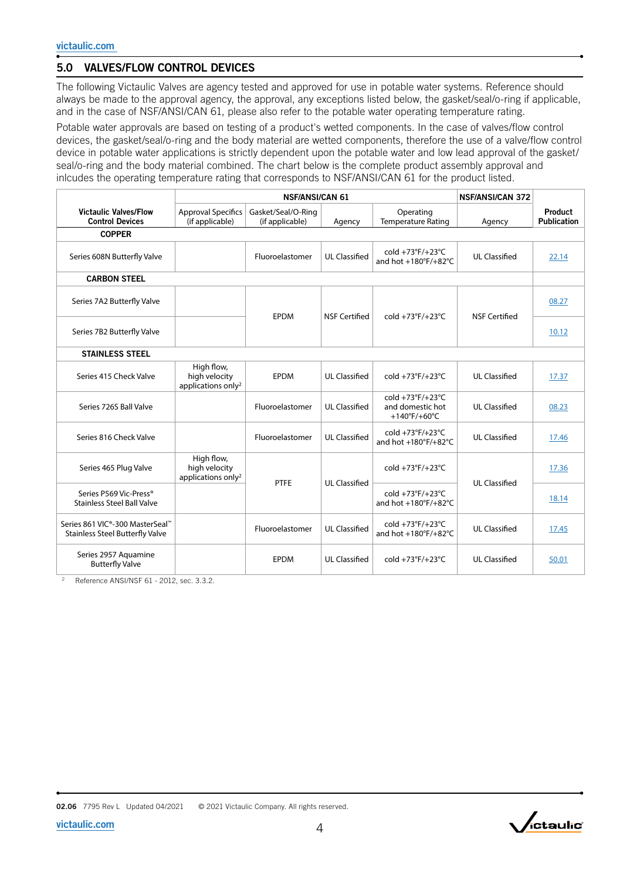# 5.0 VALVES/FLOW CONTROL DEVICES

The following Victaulic Valves are agency tested and approved for use in potable water systems. Reference should always be made to the approval agency, the approval, any exceptions listed below, the gasket/seal/o-ring if applicable, and in the case of NSF/ANSI/CAN 61, please also refer to the potable water operating temperature rating.

Potable water approvals are based on testing of a product's wetted components. In the case of valves/flow control devices, the gasket/seal/o-ring and the body material are wetted components, therefore the use of a valve/flow control device in potable water applications is strictly dependent upon the potable water and low lead approval of the gasket/ seal/o-ring and the body material combined. The chart below is the complete product assembly approval and inlcudes the operating temperature rating that corresponds to NSF/ANSI/CAN 61 for the product listed.

|                                                                                        | <b>NSF/ANSI/CAN 61</b>                                        |                                       |                      |                                                          | <b>NSF/ANSI/CAN 372</b> |                               |  |
|----------------------------------------------------------------------------------------|---------------------------------------------------------------|---------------------------------------|----------------------|----------------------------------------------------------|-------------------------|-------------------------------|--|
| <b>Victaulic Valves/Flow</b><br><b>Control Devices</b>                                 | <b>Approval Specifics</b><br>(if applicable)                  | Gasket/Seal/O-Ring<br>(if applicable) | Agency               | Operating<br><b>Temperature Rating</b>                   | Agency                  | Product<br><b>Publication</b> |  |
| <b>COPPER</b>                                                                          |                                                               |                                       |                      |                                                          |                         |                               |  |
| Series 608N Butterfly Valve                                                            |                                                               | Fluoroelastomer                       | <b>UL Classified</b> | cold $+73^{\circ}F/+23^{\circ}C$<br>and hot +180°F/+82°C | <b>UL Classified</b>    | 22.14                         |  |
| <b>CARBON STEEL</b>                                                                    |                                                               |                                       |                      |                                                          |                         |                               |  |
| Series 7A2 Butterfly Valve                                                             |                                                               |                                       |                      |                                                          | 08.27                   |                               |  |
| Series 7B2 Butterfly Valve                                                             |                                                               | <b>EPDM</b>                           | <b>NSF Certified</b> | cold +73°F/+23°C                                         | <b>NSF Certified</b>    | 10.12                         |  |
| <b>STAINLESS STEEL</b>                                                                 |                                                               |                                       |                      |                                                          |                         |                               |  |
| Series 415 Check Valve                                                                 | High flow,<br>high velocity<br>applications only <sup>2</sup> | <b>EPDM</b>                           | <b>UL Classified</b> | cold +73°F/+23°C                                         | <b>UL Classified</b>    | 17.37                         |  |
| Series 726S Ball Valve                                                                 |                                                               | Fluoroelastomer                       | <b>UL Classified</b> | $cold +73°F/+23°C$<br>and domestic hot<br>+140°F/+60°C   | <b>UL Classified</b>    | 08.23                         |  |
| Series 816 Check Valve                                                                 |                                                               | Fluoroelastomer                       | <b>UL Classified</b> | cold +73°F/+23°C<br>and hot +180°F/+82°C                 | <b>UL Classified</b>    | 17.46                         |  |
| Series 465 Plug Valve                                                                  | High flow,<br>high velocity<br>applications only <sup>2</sup> | <b>PTFE</b>                           | <b>UL Classified</b> | cold +73°F/+23°C                                         | <b>UL Classified</b>    | 17.36                         |  |
| Series P569 Vic-Press®<br><b>Stainless Steel Ball Valve</b>                            |                                                               |                                       |                      | cold +73°F/+23°C<br>and hot +180°F/+82°C                 |                         | 18.14                         |  |
| Series 861 VIC <sup>®</sup> -300 MasterSeal™<br><b>Stainless Steel Butterfly Valve</b> |                                                               | Fluoroelastomer                       | <b>UL Classified</b> | cold +73°F/+23°C<br>and hot +180°F/+82°C                 | <b>UL Classified</b>    | 17.45                         |  |
| Series 2957 Aquamine<br><b>Butterfly Valve</b>                                         |                                                               | EPDM                                  | <b>UL Classified</b> | cold +73°F/+23°C                                         | <b>UL Classified</b>    | 50.01                         |  |

<sup>2</sup> Reference ANSI/NSF 61 - 2012, sec. 3.3.2.